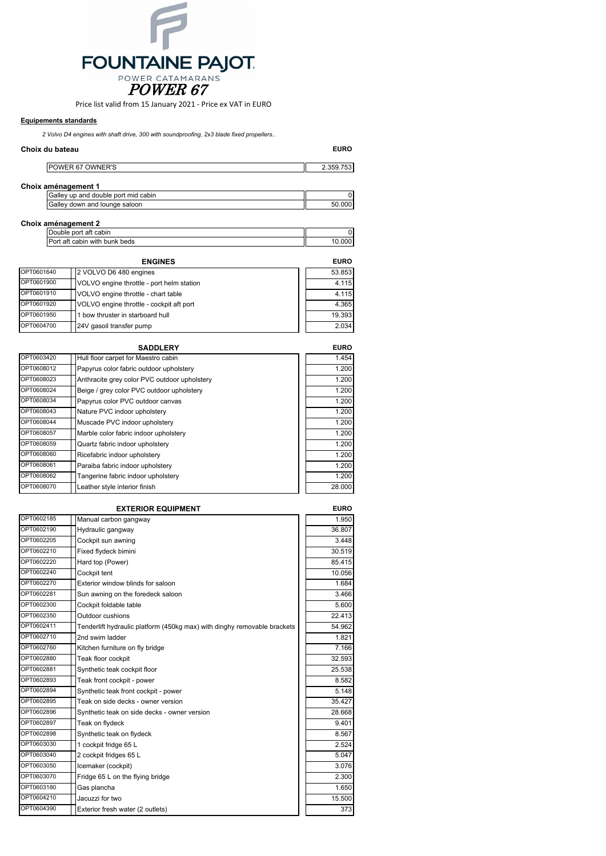

Price list valid from 15 January 2021 ‐ Price ex VAT in EURO

## **Equipements standards**

*2 Volvo D4 engines with shaft drive, 300 with soundproofing, 2x3 blade fixed propellers..*

## **Choix du bateau**

**EURO**

| .<br><b>IWAN</b><br>$\sim$<br>$\cdot$ $-$ |  |
|-------------------------------------------|--|
|                                           |  |

| Choix aménagement 1                 |  |
|-------------------------------------|--|
| Galley up and double port mid cabin |  |
| Galley down and lounge saloon       |  |
|                                     |  |

## **Choix aménagement 2**

| cabin<br>at<br>nort<br>ouble                                    |               |
|-----------------------------------------------------------------|---------------|
| <br>hunk<br>beds<br><b>Muth</b><br>ot.<br>cahir<br>וח<br>$\sim$ | $\sim$ $\sim$ |

|            | <b>ENGINES</b>                            | <b>EURO</b> |
|------------|-------------------------------------------|-------------|
| OPT0601640 | 2 VOLVO D6 480 engines                    | 53.853      |
| OPT0601900 | VOLVO engine throttle - port helm station | 4.115       |
| OPT0601910 | VOLVO engine throttle - chart table       | 4.115       |
| OPT0601920 | VOLVO engine throttle - cockpit aft port  | 4.365       |
| OPT0601950 | 1 bow thruster in starboard hull          | 19.393      |
| OPT0604700 | 24V gasoil transfer pump                  | 2.034       |

|            | <b>SADDLERY</b>                              | <b>EURO</b> |
|------------|----------------------------------------------|-------------|
| OPT0603420 | Hull floor carpet for Maestro cabin          | 1.454       |
| OPT0608012 | Papyrus color fabric outdoor upholstery      | 1.200       |
| OPT0608023 | Anthracite grey color PVC outdoor upholstery | 1.200       |
| OPT0608024 | Beige / grey color PVC outdoor upholstery    | 1.200       |
| OPT0608034 | Papyrus color PVC outdoor canvas             | 1.200       |
| OPT0608043 | Nature PVC indoor upholstery                 | 1.200       |
| OPT0608044 | Muscade PVC indoor upholstery                | 1.200       |
| OPT0608057 | Marble color fabric indoor upholstery        | 1.200       |
| OPT0608059 | Quartz fabric indoor upholstery              | 1.200       |
| OPT0608060 | Ricefabric indoor upholstery                 | 1.200       |
| OPT0608061 | Paraiba fabric indoor upholstery             | 1.200       |
| OPT0608062 | Tangerine fabric indoor upholstery           | 1.200       |
| OPT0608070 | Leather style interior finish                | 28,000      |

|            | <b>EXTERIOR EQUIPMENT</b>                                                | <b>EURO</b> |
|------------|--------------------------------------------------------------------------|-------------|
| OPT0602185 | Manual carbon gangway                                                    | 1.950       |
| OPT0602190 | Hydraulic gangway                                                        | 36.807      |
| OPT0602205 | Cockpit sun awning                                                       | 3.448       |
| OPT0602210 | Fixed flydeck bimini                                                     | 30.519      |
| OPT0602220 | Hard top (Power)                                                         | 85.415      |
| OPT0602240 | Cockpit tent                                                             | 10.056      |
| OPT0602270 | Exterior window blinds for saloon                                        | 1.684       |
| OPT0602281 | Sun awning on the foredeck saloon                                        | 3.466       |
| OPT0602300 | Cockpit foldable table                                                   | 5.600       |
| OPT0602350 | Outdoor cushions                                                         | 22.413      |
| OPT0602411 | Tenderlift hydraulic platform (450kg max) with dinghy removable brackets | 54.962      |
| OPT0602710 | 2nd swim ladder                                                          | 1.821       |
| OPT0602760 | Kitchen furniture on fly bridge                                          | 7.166       |
| OPT0602880 | Teak floor cockpit                                                       | 32.593      |
| OPT0602881 | Synthetic teak cockpit floor                                             | 25.538      |
| OPT0602893 | Teak front cockpit - power                                               | 8.582       |
| OPT0602894 | Synthetic teak front cockpit - power                                     | 5.148       |
| OPT0602895 | Teak on side decks - owner version                                       | 35.427      |
| OPT0602896 | Synthetic teak on side decks - owner version                             | 28.668      |
| OPT0602897 | Teak on flydeck                                                          | 9.401       |
| OPT0602898 | Synthetic teak on flydeck                                                | 8.567       |
| OPT0603030 | 1 cockpit fridge 65 L                                                    | 2.524       |
| OPT0603040 | 2 cockpit fridges 65 L                                                   | 5.047       |
| OPT0603050 | Icemaker (cockpit)                                                       | 3.076       |
| OPT0603070 | Fridge 65 L on the flying bridge                                         | 2.300       |
| OPT0603180 | Gas plancha                                                              | 1.650       |
| OPT0604210 | Jacuzzi for two                                                          | 15.500      |
| OPT0604390 | Exterior fresh water (2 outlets)                                         | 373         |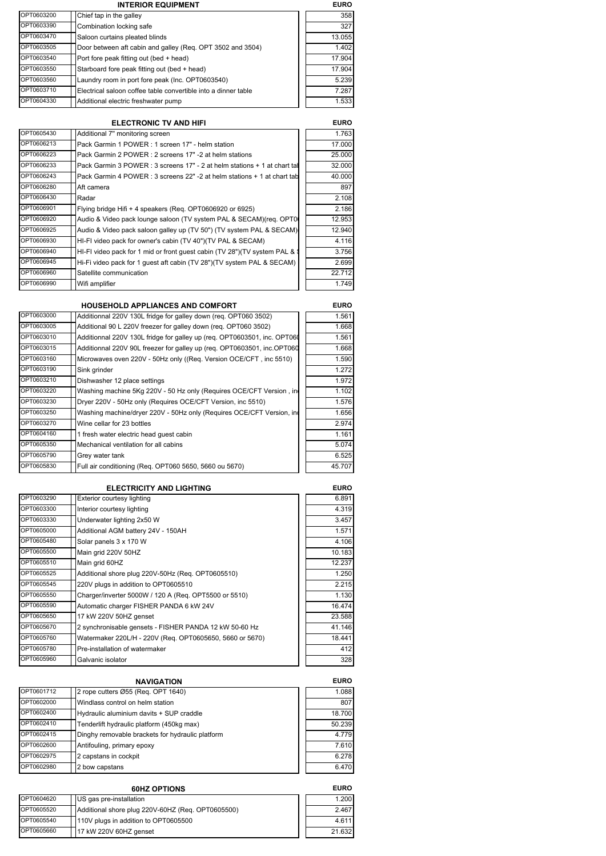|            | <b>INTERIOR EQUIPMENT</b>                                      | <b>EURO</b> |
|------------|----------------------------------------------------------------|-------------|
| OPT0603200 | Chief tap in the galley                                        | 358         |
| OPT0603390 | Combination locking safe                                       | 327         |
| OPT0603470 | Saloon curtains pleated blinds                                 | 13.055      |
| OPT0603505 | Door between aft cabin and galley (Reg. OPT 3502 and 3504)     | 1.402       |
| OPT0603540 | Port fore peak fitting out (bed + head)                        | 17.904      |
| OPT0603550 | Starboard fore peak fitting out (bed + head)                   | 17.904      |
| OPT0603560 | Laundry room in port fore peak (Inc. OPT0603540)               | 5.239       |
| OPT0603710 | Electrical saloon coffee table convertible into a dinner table | 7.287       |
| OPT0604330 | Additional electric freshwater pump                            | 1.533       |

|            | <b>ELECTRONIC TV AND HIFI</b>                                              | <b>EURO</b> |
|------------|----------------------------------------------------------------------------|-------------|
| OPT0605430 | Additional 7" monitoring screen                                            | 1.763       |
| OPT0606213 | Pack Garmin 1 POWER : 1 screen 17" - helm station                          | 17.000      |
| OPT0606223 | Pack Garmin 2 POWER : 2 screens 17" -2 at helm stations                    | 25.000      |
| OPT0606233 | Pack Garmin 3 POWER : 3 screens 17" - 2 at helm stations + 1 at chart tal  | 32,000      |
| OPT0606243 | Pack Garmin 4 POWER : 3 screens 22" -2 at helm stations + 1 at chart tab   | 40.000      |
| OPT0606280 | Aft camera                                                                 | 897         |
| OPT0606430 | Radar                                                                      | 2.108       |
| OPT0606901 | Flying bridge Hifi + 4 speakers (Reg. OPT0606920 or 6925)                  | 2.186       |
| OPT0606920 | Audio & Video pack lounge saloon (TV system PAL & SECAM)(reg. OPT0         | 12.953      |
| OPT0606925 | Audio & Video pack saloon galley up (TV 50") (TV system PAL & SECAM)       | 12.940      |
| OPT0606930 | HI-FI video pack for owner's cabin (TV 40")(TV PAL & SECAM)                | 4.116       |
| OPT0606940 | HI-FI video pack for 1 mid or front quest cabin (TV 28")(TV system PAL & 3 | 3.756       |
| OPT0606945 | Hi-Fi video pack for 1 quest aft cabin (TV 28")(TV system PAL & SECAM)     | 2.699       |
| OPT0606960 | Satellite communication                                                    | 22.712      |
| OPT0606990 | Wifi amplifier                                                             | 1.749       |

|            | <b>HOUSEHOLD APPLIANCES AND COMFORT</b>                                  | <b>EURO</b> |
|------------|--------------------------------------------------------------------------|-------------|
| OPT0603000 | Additionnal 220V 130L fridge for galley down (req. OPT060 3502)          | 1.561       |
| OPT0603005 | Additional 90 L 220V freezer for galley down (req. OPT060 3502)          | 1.668       |
| OPT0603010 | Additionnal 220V 130L fridge for galley up (req. OPT0603501, inc. OPT060 | 1.561       |
| OPT0603015 | Additionnal 220V 90L freezer for galley up (req. OPT0603501, inc.OPT060  | 1.668       |
| OPT0603160 | Microwaves oven 220V - 50Hz only ((Reg. Version OCE/CFT, inc 5510)       | 1.590       |
| OPT0603190 | Sink grinder                                                             | 1.272       |
| OPT0603210 | Dishwasher 12 place settings                                             | 1.972       |
| OPT0603220 | Washing machine 5Kg 220V - 50 Hz only (Requires OCE/CFT Version, in      | 1.102       |
| OPT0603230 | Dryer 220V - 50Hz only (Requires OCE/CFT Version, inc 5510)              | 1.576       |
| OPT0603250 | Washing machine/dryer 220V - 50Hz only (Requires OCE/CFT Version, in     | 1.656       |
| OPT0603270 | Wine cellar for 23 bottles                                               | 2.974       |
| OPT0604160 | 1 fresh water electric head quest cabin                                  | 1.161       |
| OPT0605350 | Mechanical ventilation for all cabins                                    | 5.074       |
| OPT0605790 | Grey water tank                                                          | 6.525       |
| OPT0605830 | Full air conditioning (Reg. OPT060 5650, 5660 ou 5670)                   | 45.707      |

| <b>ELECTRICITY AND LIGHTING</b> |                                                          | <b>EURO</b> |
|---------------------------------|----------------------------------------------------------|-------------|
| OPT0603290                      | Exterior courtesy lighting                               | 6.891       |
| OPT0603300                      | Interior courtesy lighting                               | 4.319       |
| OPT0603330                      | Underwater lighting 2x50 W                               | 3.457       |
| OPT0605000                      | Additional AGM battery 24V - 150AH                       | 1.571       |
| OPT0605480                      | Solar panels 3 x 170 W                                   | 4.106       |
| OPT0605500                      | Main grid 220V 50HZ                                      | 10.183      |
| OPT0605510                      | Main grid 60HZ                                           | 12.237      |
| OPT0605525                      | Additional shore plug 220V-50Hz (Req. OPT0605510)        | 1.250       |
| OPT0605545                      | 220V plugs in addition to OPT0605510                     | 2.215       |
| OPT0605550                      | Charger/inverter 5000W / 120 A (Req. OPT5500 or 5510)    | 1.130       |
| OPT0605590                      | Automatic charger FISHER PANDA 6 kW 24V                  | 16.474      |
| OPT0605650                      | 17 kW 220V 50HZ genset                                   | 23.588      |
| OPT0605670                      | 2 synchronisable gensets - FISHER PANDA 12 kW 50-60 Hz   | 41.146      |
| OPT0605760                      | Watermaker 220L/H - 220V (Req. OPT0605650, 5660 or 5670) | 18.441      |
| OPT0605780                      | Pre-installation of watermaker                           | 412         |
| OPT0605960                      | Galvanic isolator                                        | 328         |
|                                 |                                                          |             |

|            | <b>NAVIGATION</b>                                | <b>EURO</b> |
|------------|--------------------------------------------------|-------------|
| OPT0601712 | 2 rope cutters Ø55 (Req. OPT 1640)               | 1.088       |
| OPT0602000 | Windlass control on helm station                 | 807         |
| OPT0602400 | Hydraulic aluminium davits + SUP craddle         | 18.700      |
| OPT0602410 | Tenderlift hydraulic platform (450kg max)        | 50.239      |
| OPT0602415 | Dinghy removable brackets for hydraulic platform | 4.779       |
| OPT0602600 | Antifouling, primary epoxy                       | 7.610       |
| OPT0602975 | 2 capstans in cockpit                            | 6.278       |
| OPT0602980 | 2 bow capstans                                   | 6.470       |

## OPT0605540 110V plugs in addition to OPT0605500<br>
OPT0605660 17 kW 220V 60HZ qenset<br>
21.632 17 kW 220V 60HZ genset 21.632 OPT0605520 Additional shore plug 220V-60HZ (Req. OPT0605500) **60HZ OPTIONS EURO**<br> **EURO**<br> **EURO** OPT0604620 | US gas pre-installation